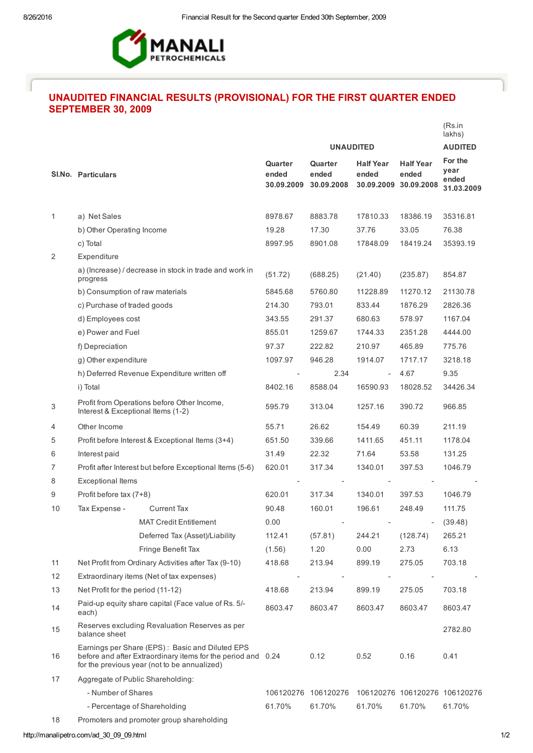

## UNAUDITED FINANCIAL RESULTS (PROVISIONAL) FOR THE FIRST QUARTER ENDED SEPTEMBER 30, 2009

|    |                                                                                                                                                                 |                                                      |                                |                                |                                         |                                         | (Rs.in<br>lakhs)                       |
|----|-----------------------------------------------------------------------------------------------------------------------------------------------------------------|------------------------------------------------------|--------------------------------|--------------------------------|-----------------------------------------|-----------------------------------------|----------------------------------------|
|    |                                                                                                                                                                 |                                                      | <b>UNAUDITED</b>               |                                |                                         | <b>AUDITED</b>                          |                                        |
|    | SI.No. Particulars                                                                                                                                              |                                                      | Quarter<br>ended<br>30.09.2009 | Quarter<br>ended<br>30.09.2008 | <b>Half Year</b><br>ended<br>30.09.2009 | <b>Half Year</b><br>ended<br>30.09.2008 | For the<br>year<br>ended<br>31.03.2009 |
| 1  | a) Net Sales                                                                                                                                                    |                                                      | 8978.67                        | 8883.78                        | 17810.33                                | 18386.19                                | 35316.81                               |
|    | b) Other Operating Income                                                                                                                                       |                                                      | 19.28                          | 17.30                          | 37.76                                   | 33.05                                   | 76.38                                  |
|    | c) Total                                                                                                                                                        |                                                      | 8997.95                        | 8901.08                        | 17848.09                                | 18419.24                                | 35393.19                               |
| 2  | Expenditure                                                                                                                                                     |                                                      |                                |                                |                                         |                                         |                                        |
|    | a) (Increase) / decrease in stock in trade and work in<br>progress                                                                                              |                                                      | (51.72)                        | (688.25)                       | (21.40)                                 | (235.87)                                | 854.87                                 |
|    | b) Consumption of raw materials                                                                                                                                 |                                                      | 5845.68                        | 5760.80                        | 11228.89                                | 11270.12                                | 21130.78                               |
|    | c) Purchase of traded goods                                                                                                                                     |                                                      | 214.30                         | 793.01                         | 833.44                                  | 1876.29                                 | 2826.36                                |
|    | d) Employees cost                                                                                                                                               |                                                      | 343.55                         | 291.37                         | 680.63                                  | 578.97                                  | 1167.04                                |
|    | e) Power and Fuel                                                                                                                                               |                                                      | 855.01                         | 1259.67                        | 1744.33                                 | 2351.28                                 | 4444.00                                |
|    | f) Depreciation                                                                                                                                                 |                                                      | 97.37                          | 222.82                         | 210.97                                  | 465.89                                  | 775.76                                 |
|    | g) Other expenditure                                                                                                                                            |                                                      | 1097.97                        | 946.28                         | 1914.07                                 | 1717.17                                 | 3218.18                                |
|    |                                                                                                                                                                 | h) Deferred Revenue Expenditure written off          |                                | 2.34                           | $\overline{\phantom{a}}$                | 4.67                                    | 9.35                                   |
|    | i) Total                                                                                                                                                        |                                                      | 8402.16                        | 8588.04                        | 16590.93                                | 18028.52                                | 34426.34                               |
| 3  | Interest & Exceptional Items (1-2)                                                                                                                              | Profit from Operations before Other Income,          | 595.79                         | 313.04                         | 1257.16                                 | 390.72                                  | 966.85                                 |
| 4  | Other Income                                                                                                                                                    |                                                      | 55.71                          | 26.62                          | 154.49                                  | 60.39                                   | 211.19                                 |
| 5  | Profit before Interest & Exceptional Items (3+4)                                                                                                                |                                                      | 651.50                         | 339.66                         | 1411.65                                 | 451.11                                  | 1178.04                                |
| 6  | Interest paid                                                                                                                                                   |                                                      | 31.49                          | 22.32                          | 71.64                                   | 53.58                                   | 131.25                                 |
| 7  | Profit after Interest but before Exceptional Items (5-6)                                                                                                        |                                                      | 620.01                         | 317.34                         | 1340.01                                 | 397.53                                  | 1046.79                                |
| 8  | <b>Exceptional Items</b>                                                                                                                                        |                                                      |                                |                                |                                         |                                         |                                        |
| 9  | Profit before tax (7+8)                                                                                                                                         |                                                      | 620.01                         | 317.34                         | 1340.01                                 | 397.53                                  | 1046.79                                |
| 10 | Tax Expense -                                                                                                                                                   | <b>Current Tax</b>                                   | 90.48                          | 160.01                         | 196.61                                  | 248.49                                  | 111.75                                 |
|    |                                                                                                                                                                 | <b>MAT Credit Entitlement</b>                        | 0.00                           |                                |                                         |                                         | (39.48)                                |
|    |                                                                                                                                                                 | Deferred Tax (Asset)/Liability                       | 112.41                         | (57.81)                        | 244.21                                  | (128.74)                                | 265.21                                 |
|    |                                                                                                                                                                 | Fringe Benefit Tax                                   | (1.56)                         | 1.20                           | 0.00                                    | 2.73                                    | 6.13                                   |
| 11 |                                                                                                                                                                 | Net Profit from Ordinary Activities after Tax (9-10) | 418.68                         | 213.94                         | 899.19                                  | 275.05                                  | 703.18                                 |
| 12 |                                                                                                                                                                 | Extraordinary items (Net of tax expenses)            |                                |                                |                                         |                                         |                                        |
| 13 | Net Profit for the period (11-12)                                                                                                                               |                                                      | 418.68                         | 213.94                         | 899.19                                  | 275.05                                  | 703.18                                 |
| 14 | Paid-up equity share capital (Face value of Rs. 5/-<br>each)                                                                                                    |                                                      | 8603.47                        | 8603.47                        | 8603.47                                 | 8603.47                                 | 8603.47                                |
| 15 | balance sheet                                                                                                                                                   | Reserves excluding Revaluation Reserves as per       |                                |                                |                                         |                                         | 2782.80                                |
| 16 | Earnings per Share (EPS): Basic and Diluted EPS<br>before and after Extraordinary items for the period and 0.24<br>for the previous year (not to be annualized) |                                                      |                                | 0.12                           | 0.52                                    | 0.16                                    | 0.41                                   |
| 17 | Aggregate of Public Shareholding:                                                                                                                               |                                                      |                                |                                |                                         |                                         |                                        |
|    | - Number of Shares                                                                                                                                              |                                                      |                                | 106120276 106120276            |                                         | 106120276 106120276 106120276           |                                        |
|    |                                                                                                                                                                 | - Percentage of Shareholding                         | 61.70%                         | 61.70%                         | 61.70%                                  | 61.70%                                  | 61.70%                                 |
| 18 |                                                                                                                                                                 | Promoters and promoter group shareholding            |                                |                                |                                         |                                         |                                        |